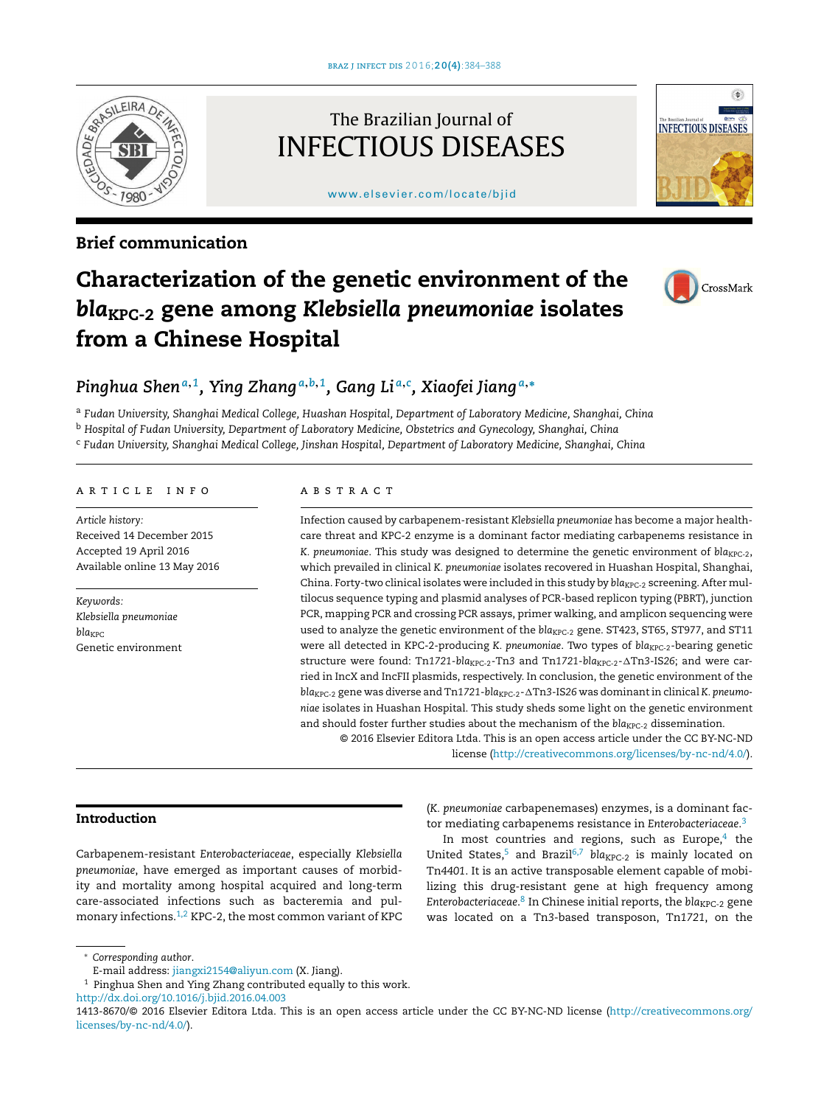

## Brief communication

# The Brazilian Journal of INFECTIOUS DISEASES

[www.elsevier.com/locate/bjid](http://www.elsevier.com/locate/bjid)



# Characterization of the genetic environment of the *bla*KPC-2 gene among *Klebsiella pneumoniae* isolates from a Chinese Hospital



# *Pinghua Shen<sup>a</sup>*,*<sup>1</sup> , Ying Zhang <sup>a</sup>*,*b*,*<sup>1</sup> , Gang Li <sup>a</sup>*,*<sup>c</sup> , Xiaofei Jiang <sup>a</sup>*,<sup>∗</sup>

<sup>a</sup> *Fudan University, Shanghai Medical College, Huashan Hospital, Department of Laboratory Medicine, Shanghai, China* <sup>b</sup> *Hospital of Fudan University, Department of Laboratory Medicine, Obstetrics and Gynecology, Shanghai, China* <sup>c</sup> *Fudan University, Shanghai Medical College, Jinshan Hospital, Department of Laboratory Medicine, Shanghai, China*

#### a r t i c l e i n f o

*Article history:* Received 14 December 2015 Accepted 19 April 2016 Available online 13 May 2016

*Keywords: Klebsiella pneumoniae bla*KPC Genetic environment

#### a b s t r a c t

Infection caused by carbapenem-resistant *Klebsiella pneumoniae* has become a major healthcare threat and KPC-2 enzyme is a dominant factor mediating carbapenems resistance in *K. pneumoniae. This study was designed to determine the genetic environment of bla<sub>KPC-2</sub>,* which prevailed in clinical *K. pneumoniae* isolates recovered in Huashan Hospital, Shanghai, China. Forty-two clinical isolates were included in this study by  $bla_{KPC-2}$  screening. After multilocus sequence typing and plasmid analyses of PCR-based replicon typing (PBRT), junction PCR, mapping PCR and crossing PCR assays, primer walking, and amplicon sequencing were used to analyze the genetic environment of the bla<sub>KPC-2</sub> gene. ST423, ST65, ST977, and ST11 were all detected in KPC-2-producing *K. pneumoniae*. Two types of *bla<sub>KPC-2</sub>*-bearing genetic structure were found: Tn1721-bla<sub>KPC-2</sub>-Tn3 and Tn1721-bla<sub>KPC-2</sub>- $\Delta$ Tn3-IS26; and were carried in IncX and IncFII plasmids, respectively. In conclusion, the genetic environment of the  $bla<sub>KPC-2</sub>$  gene was diverse and Tn1721- $bla<sub>KPC-2</sub> - \Delta$ Tn3-IS26 was dominant in clinical *K. pneumoniae* isolates in Huashan Hospital. This study sheds some light on the genetic environment and should foster further studies about the mechanism of the *bla<sub>KPC-2</sub>* dissemination.

© 2016 Elsevier Editora Ltda. This is an open access article under the CC BY-NC-ND

license [\(http://creativecommons.org/licenses/by-nc-nd/4.0/](http://creativecommons.org/licenses/by-nc-nd/4.0/)).

### Introduction

Carbapenem-resistant *Enterobacteriaceae*, especially *Klebsiella pneumoniae*, have emerged as important causes of morbidity and mortality among hospital acquired and long-term care-associated infections such as bacteremia and pulmonary infections.[1,2](#page-3-0) KPC-2, the most common variant of KPC (*K. pneumoniae* carbapenemases) enzymes, is a dominant factor mediating carbapenems resistance in *Enterobacteriaceae*. [3](#page-3-0)

In most countries and regions, such as Europe, $4$  the United States,<sup>[5](#page-3-0)</sup> and Brazil<sup>[6,7](#page-3-0)</sup> bla<sub>KPC-2</sub> is mainly located on Tn*4401*. It is an active transposable element capable of mobilizing this drug-resistant gene at high frequency among *Enterobacteriaceae*. 8 [In](#page-3-0) Chinese initial reports, the *bla*KPC-2 gene was located on a Tn*3*-based transposon, Tn*1721*, on the

<sup>∗</sup> *Corresponding author*.

E-mail address: [jiangxi2154@aliyun.com](mailto:jiangxi2154@aliyun.com) (X. Jiang).

 $^{\rm 1}$  Pinghua Shen and Ying Zhang contributed equally to this work.

[http://dx.doi.org/10.1016/j.bjid.2016.04.003](dx.doi.org/10.1016/j.bjid.2016.04.003)

<sup>1413-8670/©</sup> 2016 Elsevier Editora Ltda. This is an open access article under the CC BY-NC-ND license ([http://creativecommons.org/](http://creativecommons.org/licenses/by-nc-nd/4.0/) [licenses/by-nc-nd/4.0/\)](http://creativecommons.org/licenses/by-nc-nd/4.0/).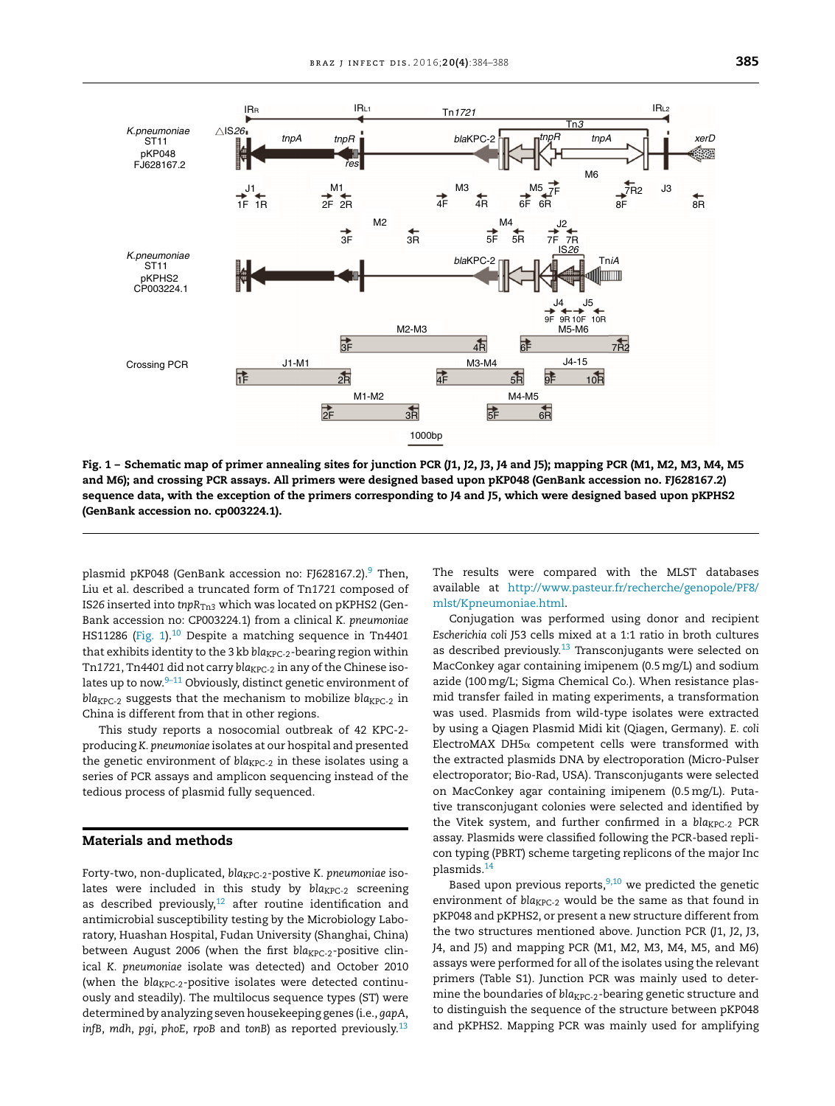<span id="page-1-0"></span>

Fig. 1 – Schematic map of primer annealing sites for junction PCR (J1, J2, J3, J4 and J5); mapping PCR (M1, M2, M3, M4, M5 and M6); and crossing PCR assays. All primers were designed based upon pKP048 (GenBank accession no. FJ628167.2) sequence data, with the exception of the primers corresponding to J4 and J5, which were designed based upon pKPHS2 (GenBank accession no. cp003224.1).

plasmid pKP048 (GenBank accession no: FJ628167.2).<sup>[9](#page-3-0)</sup> Then, Liu et al. described a truncated form of Tn*1721* composed of IS26 inserted into *tnpR<sub>Tn3</sub>* which was located on pKPHS2 (Gen-Bank accession no: CP003224.1) from a clinical *K. pneumoniae* HS11286 (Fig. 1).[10](#page-3-0) Despite a matching sequence in Tn*4401* that exhibits identity to the 3 kb *bla<sub>KPC-2</sub>*-bearing region within Tn1721, Tn4401 did not carry *bla<sub>KPC-2</sub>* in any of the Chinese isolates up to now. $9-11$  Obviously, distinct genetic environment of *bla<sub>KPC-2</sub>* suggests that the mechanism to mobilize *bla<sub>KPC-2</sub>* in China is different from that in other regions.

This study reports a nosocomial outbreak of 42 KPC-2 producing *K. pneumoniae* isolates at our hospital and presented the genetic environment of *bla<sub>KPC-2</sub>* in these isolates using a series of PCR assays and amplicon sequencing instead of the tedious process of plasmid fully sequenced.

#### Materials and methods

Forty-two, non-duplicated, *bla<sub>KPC-2</sub>*-postive *K. pneumoniae* isolates were included in this study by bla<sub>KPC-2</sub> screening as described previously, $12$  after routine identification and antimicrobial susceptibility testing by the Microbiology Laboratory, Huashan Hospital, Fudan University (Shanghai, China) between August 2006 (when the first bla<sub>KPC-2</sub>-positive clinical *K. pneumoniae* isolate was detected) and October 2010 (when the  $bla_{KPC-2}$ -positive isolates were detected continuously and steadily). The multilocus sequence types (ST) were determined by analyzing seven housekeeping genes (i.e., *gapA*, *infB*, *mdh*, *pgi*, *phoE*, *rpoB* and *tonB*) as reported previously.[13](#page-3-0) The results were compared with the MLST databases available at [http://www.pasteur.fr/recherche/genopole/PF8/](http://www.pasteur.fr/recherche/genopole/PF8/mlst/Kpneumoniae.html) [mlst/Kpneumoniae.html.](http://www.pasteur.fr/recherche/genopole/PF8/mlst/Kpneumoniae.html)

Conjugation was performed using donor and recipient *Escherichia coli* J53 cells mixed at a 1:1 ratio in broth cultures as described previously.<sup>[13](#page-3-0)</sup> Transconjugants were selected on MacConkey agar containing imipenem (0.5mg/L) and sodium azide (100mg/L; Sigma Chemical Co.). When resistance plasmid transfer failed in mating experiments, a transformation was used. Plasmids from wild-type isolates were extracted by using a Qiagen Plasmid Midi kit (Qiagen, Germany). *E. coli* ElectroMAX DH5 $\alpha$  competent cells were transformed with the extracted plasmids DNA by electroporation (Micro-Pulser electroporator; Bio-Rad, USA). Transconjugants were selected on MacConkey agar containing imipenem (0.5mg/L). Putative transconjugant colonies were selected and identified by the Vitek system, and further confirmed in a bla<sub>KPC-2</sub> PCR assay. Plasmids were classified following the PCR-based replicon typing (PBRT) scheme targeting replicons of the major Inc plasmids.[14](#page-3-0)

Based upon previous reports,  $9,10$  we predicted the genetic environment of *bla<sub>KPC-2</sub>* would be the same as that found in pKP048 and pKPHS2, or present a new structure different from the two structures mentioned above. Junction PCR (J1, J2, J3, J4, and J5) and mapping PCR (M1, M2, M3, M4, M5, and M6) assays were performed for all of the isolates using the relevant primers (Table S1). Junction PCR was mainly used to determine the boundaries of bla<sub>KPC-2</sub>-bearing genetic structure and to distinguish the sequence of the structure between pKP048 and pKPHS2. Mapping PCR was mainly used for amplifying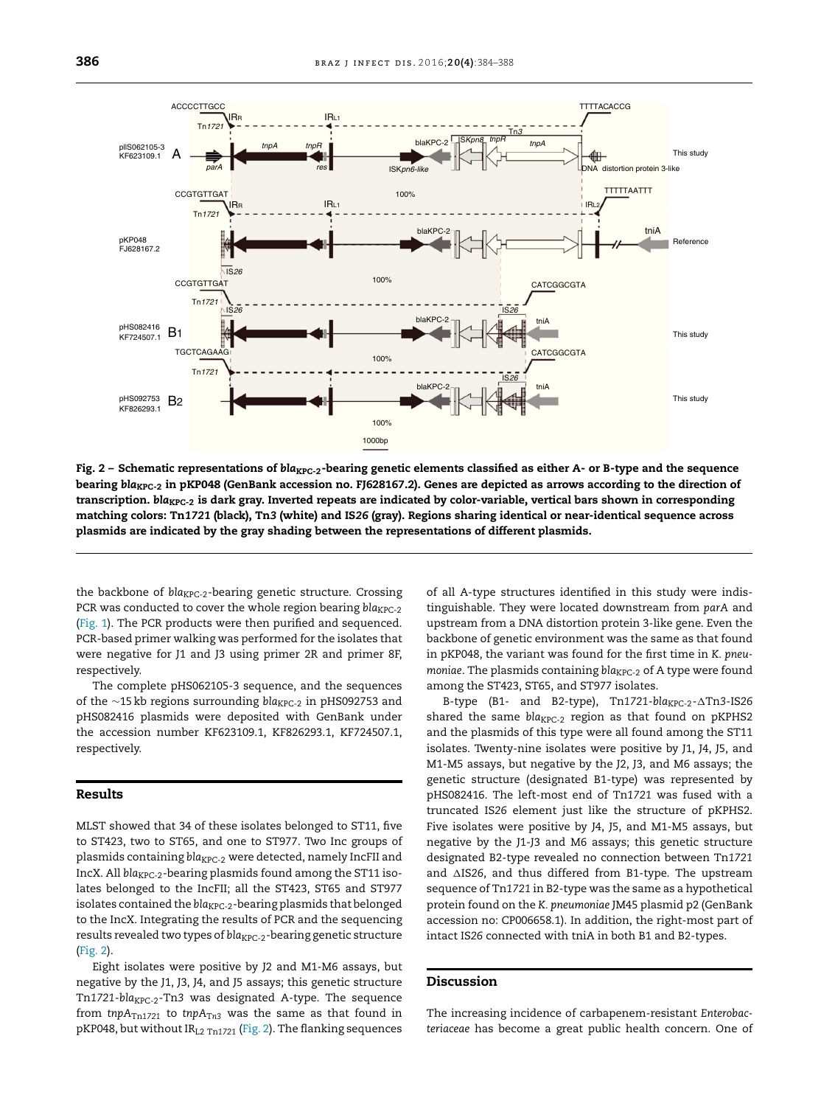

Fig. 2 – Schematic representations of  $bla_{KPC-2}$ -bearing genetic elements classified as either A- or B-type and the sequence bearing bla<sub>KPC-2</sub> in pKP048 (GenBank accession no. FJ628167.2). Genes are depicted as arrows according to the direction of transcription. *bla<sub>KPC-2</sub>* is dark gray. Inverted repeats are indicated by color-variable, vertical bars shown in corresponding matching colors: Tn*1721* (black), Tn*3* (white) and IS*26* (gray). Regions sharing identical or near-identical sequence across plasmids are indicated by the gray shading between the representations of different plasmids.

the backbone of *bla<sub>KPC-2</sub>*-bearing genetic structure. Crossing PCR was conducted to cover the whole region bearing *bla<sub>KPC-2</sub>* ([Fig.](#page-1-0) 1). The PCR products were then purified and sequenced. PCR-based primer walking was performed for the isolates that were negative for J1 and J3 using primer 2R and primer 8F, respectively.

The complete pHS062105-3 sequence, and the sequences of the ∼15 kb regions surrounding *bla<sub>KPC-2</sub>* in pHS092753 and pHS082416 plasmids were deposited with GenBank under the accession number KF623109.1, KF826293.1, KF724507.1, respectively.

#### Results

MLST showed that 34 of these isolates belonged to ST11, five to ST423, two to ST65, and one to ST977. Two Inc groups of plasmids containing *bla<sub>KPC-2</sub>* were detected, namely IncFII and IncX. All *bla<sub>KPC-2</sub>*-bearing plasmids found among the ST11 isolates belonged to the IncFII; all the ST423, ST65 and ST977 isolates contained the *bla<sub>KPC-2</sub>*-bearing plasmids that belonged to the IncX. Integrating the results of PCR and the sequencing results revealed two types of *bla<sub>KPC-2</sub>*-bearing genetic structure (Fig. 2).

Eight isolates were positive by J2 and M1-M6 assays, but negative by the J1, J3, J4, and J5 assays; this genetic structure Tn1721-bla<sub>KPC-2</sub>-Tn3 was designated A-type. The sequence from *tnpA*<sub>Tn1721</sub> to *tnpA*<sub>Tn3</sub> was the same as that found in pKP048, but without IRL2 Tn*<sup>1721</sup>* (Fig. 2). The flanking sequences of all A-type structures identified in this study were indistinguishable. They were located downstream from *parA* and upstream from a DNA distortion protein 3-like gene. Even the backbone of genetic environment was the same as that found in pKP048, the variant was found for the first time in *K. pneumoniae*. The plasmids containing *bla*<sub>KPC-2</sub> of A type were found among the ST423, ST65, and ST977 isolates.

B-type (B1- and B2-type), Tn1721-bla<sub>KPC-2</sub>-ATn3-IS26 shared the same *bla<sub>KPC-2</sub>* region as that found on pKPHS2 and the plasmids of this type were all found among the ST11 isolates. Twenty-nine isolates were positive by J1, J4, J5, and M1-M5 assays, but negative by the J2, J3, and M6 assays; the genetic structure (designated B1-type) was represented by pHS082416. The left-most end of Tn*1721* was fused with a truncated IS*26* element just like the structure of pKPHS2. Five isolates were positive by J4, J5, and M1-M5 assays, but negative by the J1-J3 and M6 assays; this genetic structure designated B2-type revealed no connection between Tn*1721* and  $\triangle$ IS26, and thus differed from B1-type. The upstream sequence of Tn*1721* in B2-type was the same as a hypothetical protein found on the *K. pneumoniae* JM45 plasmid p2 (GenBank accession no: CP006658.1). In addition, the right-most part of intact IS*26* connected with tniA in both B1 and B2-types.

#### Discussion

The increasing incidence of carbapenem-resistant *Enterobacteriaceae* has become a great public health concern. One of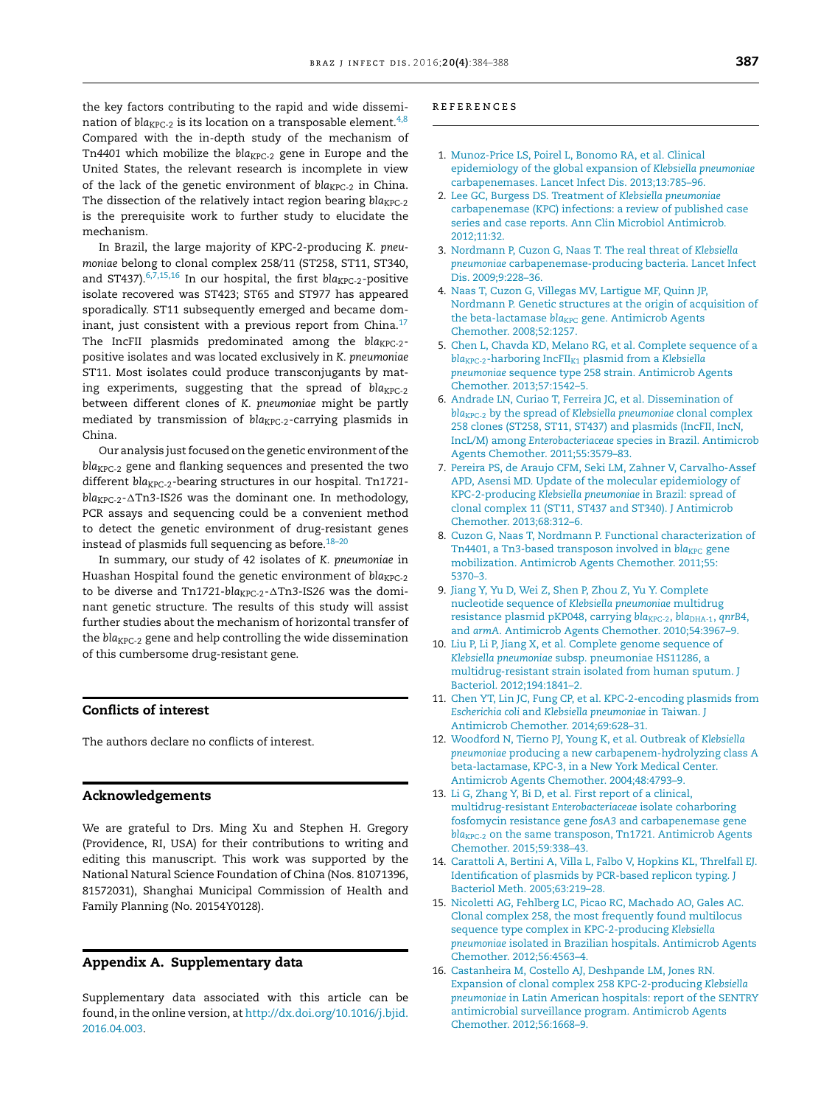<span id="page-3-0"></span>the key factors contributing to the rapid and wide dissemination of  $bla_{KPC-2}$  is its location on a transposable element.<sup>4,8</sup> Compared with the in-depth study of the mechanism of Tn4401 which mobilize the *bla<sub>KPC-2</sub>* gene in Europe and the United States, the relevant research is incomplete in view of the lack of the genetic environment of *bla<sub>KPC-2</sub>* in China. The dissection of the relatively intact region bearing *bla<sub>KPC-2</sub>* is the prerequisite work to further study to elucidate the mechanism.

In Brazil, the large majority of KPC-2-producing *K. pneumoniae* belong to clonal complex 258/11 (ST258, ST11, ST340, and ST437).<sup>6,7,15,16</sup> In our hospital, the first *bla<sub>KPC-2</sub>*-positive isolate recovered was ST423; ST65 and ST977 has appeared sporadically. ST11 subsequently emerged and became dominant, just consistent with a previous report from China. $17$ The IncFII plasmids predominated among the *bla<sub>KPC-2</sub>*positive isolates and was located exclusively in *K. pneumoniae* ST11. Most isolates could produce transconjugants by mating experiments, suggesting that the spread of *bla<sub>KPC-2</sub>* between different clones of *K. pneumoniae* might be partly mediated by transmission of *bla<sub>KPC-2</sub>*-carrying plasmids in China.

Our analysis just focused on the genetic environment of the bla<sub>KPC-2</sub> gene and flanking sequences and presented the two different *bla<sub>KPC-2</sub>*-bearing structures in our hospital. Tn1721bla<sub>KPC-2</sub>- $\Delta$ Tn3-IS26 was the dominant one. In methodology, PCR assays and sequencing could be a convenient method to detect the genetic environment of drug-resistant genes instead of plasmids full sequencing as before. $18-20$ 

In summary, our study of 42 isolates of *K. pneumoniae* in Huashan Hospital found the genetic environment of *bla<sub>KPC-2</sub>* to be diverse and Tn1721-bla<sub>KPC-2</sub>-ATn3-IS26 was the dominant genetic structure. The results of this study will assist further studies about the mechanism of horizontal transfer of the *bla<sub>KPC-2</sub>* gene and help controlling the wide dissemination of this cumbersome drug-resistant gene.

## Conflicts of interest

The authors declare no conflicts of interest.

#### Acknowledgements

We are grateful to Drs. Ming Xu and Stephen H. Gregory (Providence, RI, USA) for their contributions to writing and editing this manuscript. This work was supported by the National Natural Science Foundation of China (Nos. 81071396, 81572031), Shanghai Municipal Commission of Health and Family Planning (No. 20154Y0128).

### Appendix A. Supplementary data

Supplementary data associated with this article can be found, in the online version, at [http://dx.doi.org/10.1016/j.bjid.](http://dx.doi.org/10.1016/j.bjid.2016.04.003) [2016.04.003](http://dx.doi.org/10.1016/j.bjid.2016.04.003).

#### r e f e r enc e s

- 1. [Munoz-Price](http://refhub.elsevier.com/S1413-8670(16)30073-3/sbref0105) [LS,](http://refhub.elsevier.com/S1413-8670(16)30073-3/sbref0105) [Poirel](http://refhub.elsevier.com/S1413-8670(16)30073-3/sbref0105) [L,](http://refhub.elsevier.com/S1413-8670(16)30073-3/sbref0105) [Bonomo](http://refhub.elsevier.com/S1413-8670(16)30073-3/sbref0105) [RA,](http://refhub.elsevier.com/S1413-8670(16)30073-3/sbref0105) [et](http://refhub.elsevier.com/S1413-8670(16)30073-3/sbref0105) [al.](http://refhub.elsevier.com/S1413-8670(16)30073-3/sbref0105) [Clinical](http://refhub.elsevier.com/S1413-8670(16)30073-3/sbref0105) [epidemiology](http://refhub.elsevier.com/S1413-8670(16)30073-3/sbref0105) [of](http://refhub.elsevier.com/S1413-8670(16)30073-3/sbref0105) [the](http://refhub.elsevier.com/S1413-8670(16)30073-3/sbref0105) [global](http://refhub.elsevier.com/S1413-8670(16)30073-3/sbref0105) [expansion](http://refhub.elsevier.com/S1413-8670(16)30073-3/sbref0105) [of](http://refhub.elsevier.com/S1413-8670(16)30073-3/sbref0105) *[Klebsiella](http://refhub.elsevier.com/S1413-8670(16)30073-3/sbref0105) [pneumoniae](http://refhub.elsevier.com/S1413-8670(16)30073-3/sbref0105)* [carbapenemases.](http://refhub.elsevier.com/S1413-8670(16)30073-3/sbref0105) [Lancet](http://refhub.elsevier.com/S1413-8670(16)30073-3/sbref0105) [Infect](http://refhub.elsevier.com/S1413-8670(16)30073-3/sbref0105) [Dis.](http://refhub.elsevier.com/S1413-8670(16)30073-3/sbref0105) [2013;13:785](http://refhub.elsevier.com/S1413-8670(16)30073-3/sbref0105)–[96.](http://refhub.elsevier.com/S1413-8670(16)30073-3/sbref0105)
- 2. [Lee](http://refhub.elsevier.com/S1413-8670(16)30073-3/sbref0110) [GC,](http://refhub.elsevier.com/S1413-8670(16)30073-3/sbref0110) [Burgess](http://refhub.elsevier.com/S1413-8670(16)30073-3/sbref0110) [DS.](http://refhub.elsevier.com/S1413-8670(16)30073-3/sbref0110) [Treatment](http://refhub.elsevier.com/S1413-8670(16)30073-3/sbref0110) [of](http://refhub.elsevier.com/S1413-8670(16)30073-3/sbref0110) *[Klebsiella](http://refhub.elsevier.com/S1413-8670(16)30073-3/sbref0110) [pneumoniae](http://refhub.elsevier.com/S1413-8670(16)30073-3/sbref0110)* [carbapenemase](http://refhub.elsevier.com/S1413-8670(16)30073-3/sbref0110) [\(KPC\)](http://refhub.elsevier.com/S1413-8670(16)30073-3/sbref0110) [infections:](http://refhub.elsevier.com/S1413-8670(16)30073-3/sbref0110) [a](http://refhub.elsevier.com/S1413-8670(16)30073-3/sbref0110) [review](http://refhub.elsevier.com/S1413-8670(16)30073-3/sbref0110) [of](http://refhub.elsevier.com/S1413-8670(16)30073-3/sbref0110) [published](http://refhub.elsevier.com/S1413-8670(16)30073-3/sbref0110) [case](http://refhub.elsevier.com/S1413-8670(16)30073-3/sbref0110) [series](http://refhub.elsevier.com/S1413-8670(16)30073-3/sbref0110) [and](http://refhub.elsevier.com/S1413-8670(16)30073-3/sbref0110) [case](http://refhub.elsevier.com/S1413-8670(16)30073-3/sbref0110) [reports.](http://refhub.elsevier.com/S1413-8670(16)30073-3/sbref0110) [Ann](http://refhub.elsevier.com/S1413-8670(16)30073-3/sbref0110) [Clin](http://refhub.elsevier.com/S1413-8670(16)30073-3/sbref0110) [Microbiol](http://refhub.elsevier.com/S1413-8670(16)30073-3/sbref0110) [Antimicrob.](http://refhub.elsevier.com/S1413-8670(16)30073-3/sbref0110) [2012;11:32.](http://refhub.elsevier.com/S1413-8670(16)30073-3/sbref0110)
- 3. [Nordmann](http://refhub.elsevier.com/S1413-8670(16)30073-3/sbref0115) [P,](http://refhub.elsevier.com/S1413-8670(16)30073-3/sbref0115) [Cuzon](http://refhub.elsevier.com/S1413-8670(16)30073-3/sbref0115) [G,](http://refhub.elsevier.com/S1413-8670(16)30073-3/sbref0115) [Naas](http://refhub.elsevier.com/S1413-8670(16)30073-3/sbref0115) [T.](http://refhub.elsevier.com/S1413-8670(16)30073-3/sbref0115) [The](http://refhub.elsevier.com/S1413-8670(16)30073-3/sbref0115) [real](http://refhub.elsevier.com/S1413-8670(16)30073-3/sbref0115) [threat](http://refhub.elsevier.com/S1413-8670(16)30073-3/sbref0115) [of](http://refhub.elsevier.com/S1413-8670(16)30073-3/sbref0115) *[Klebsiella](http://refhub.elsevier.com/S1413-8670(16)30073-3/sbref0115) [pneumoniae](http://refhub.elsevier.com/S1413-8670(16)30073-3/sbref0115)* [carbapenemase-producing](http://refhub.elsevier.com/S1413-8670(16)30073-3/sbref0115) [bacteria.](http://refhub.elsevier.com/S1413-8670(16)30073-3/sbref0115) [Lancet](http://refhub.elsevier.com/S1413-8670(16)30073-3/sbref0115) [Infect](http://refhub.elsevier.com/S1413-8670(16)30073-3/sbref0115) [Dis.](http://refhub.elsevier.com/S1413-8670(16)30073-3/sbref0115) 2009;9:228-36.
- 4. [Naas](http://refhub.elsevier.com/S1413-8670(16)30073-3/sbref0120) [T,](http://refhub.elsevier.com/S1413-8670(16)30073-3/sbref0120) [Cuzon](http://refhub.elsevier.com/S1413-8670(16)30073-3/sbref0120) [G,](http://refhub.elsevier.com/S1413-8670(16)30073-3/sbref0120) [Villegas](http://refhub.elsevier.com/S1413-8670(16)30073-3/sbref0120) [MV,](http://refhub.elsevier.com/S1413-8670(16)30073-3/sbref0120) [Lartigue](http://refhub.elsevier.com/S1413-8670(16)30073-3/sbref0120) [MF,](http://refhub.elsevier.com/S1413-8670(16)30073-3/sbref0120) [Quinn](http://refhub.elsevier.com/S1413-8670(16)30073-3/sbref0120) [JP,](http://refhub.elsevier.com/S1413-8670(16)30073-3/sbref0120) [Nordmann](http://refhub.elsevier.com/S1413-8670(16)30073-3/sbref0120) [P.](http://refhub.elsevier.com/S1413-8670(16)30073-3/sbref0120) [Genetic](http://refhub.elsevier.com/S1413-8670(16)30073-3/sbref0120) [structures](http://refhub.elsevier.com/S1413-8670(16)30073-3/sbref0120) [at](http://refhub.elsevier.com/S1413-8670(16)30073-3/sbref0120) [the](http://refhub.elsevier.com/S1413-8670(16)30073-3/sbref0120) [origin](http://refhub.elsevier.com/S1413-8670(16)30073-3/sbref0120) [of](http://refhub.elsevier.com/S1413-8670(16)30073-3/sbref0120) [acquisition](http://refhub.elsevier.com/S1413-8670(16)30073-3/sbref0120) [of](http://refhub.elsevier.com/S1413-8670(16)30073-3/sbref0120) [the](http://refhub.elsevier.com/S1413-8670(16)30073-3/sbref0120) [beta-lactamase](http://refhub.elsevier.com/S1413-8670(16)30073-3/sbref0120) *[bla](http://refhub.elsevier.com/S1413-8670(16)30073-3/sbref0120)*<sub>[KPC](http://refhub.elsevier.com/S1413-8670(16)30073-3/sbref0120)</sub> [gene.](http://refhub.elsevier.com/S1413-8670(16)30073-3/sbref0120) [Antimicrob](http://refhub.elsevier.com/S1413-8670(16)30073-3/sbref0120) [Agents](http://refhub.elsevier.com/S1413-8670(16)30073-3/sbref0120) [Chemother.](http://refhub.elsevier.com/S1413-8670(16)30073-3/sbref0120) [2008;52:1257.](http://refhub.elsevier.com/S1413-8670(16)30073-3/sbref0120)
- 5. [Chen](http://refhub.elsevier.com/S1413-8670(16)30073-3/sbref0125) [L,](http://refhub.elsevier.com/S1413-8670(16)30073-3/sbref0125) [Chavda](http://refhub.elsevier.com/S1413-8670(16)30073-3/sbref0125) [KD,](http://refhub.elsevier.com/S1413-8670(16)30073-3/sbref0125) [Melano](http://refhub.elsevier.com/S1413-8670(16)30073-3/sbref0125) [RG,](http://refhub.elsevier.com/S1413-8670(16)30073-3/sbref0125) [et](http://refhub.elsevier.com/S1413-8670(16)30073-3/sbref0125) [al.](http://refhub.elsevier.com/S1413-8670(16)30073-3/sbref0125) [Complete](http://refhub.elsevier.com/S1413-8670(16)30073-3/sbref0125) [sequence](http://refhub.elsevier.com/S1413-8670(16)30073-3/sbref0125) [of](http://refhub.elsevier.com/S1413-8670(16)30073-3/sbref0125) [a](http://refhub.elsevier.com/S1413-8670(16)30073-3/sbref0125) *[bla](http://refhub.elsevier.com/S1413-8670(16)30073-3/sbref0125)*<sub>[KPC-2](http://refhub.elsevier.com/S1413-8670(16)30073-3/sbref0125)</sub>[-harboring](http://refhub.elsevier.com/S1413-8670(16)30073-3/sbref0125) [IncFII](http://refhub.elsevier.com/S1413-8670(16)30073-3/sbref0125)<sub>[K1](http://refhub.elsevier.com/S1413-8670(16)30073-3/sbref0125)</sub> [plasmid](http://refhub.elsevier.com/S1413-8670(16)30073-3/sbref0125) [from](http://refhub.elsevier.com/S1413-8670(16)30073-3/sbref0125) [a](http://refhub.elsevier.com/S1413-8670(16)30073-3/sbref0125) *[Klebsiella](http://refhub.elsevier.com/S1413-8670(16)30073-3/sbref0125) [pneumoniae](http://refhub.elsevier.com/S1413-8670(16)30073-3/sbref0125)* [sequence](http://refhub.elsevier.com/S1413-8670(16)30073-3/sbref0125) [type](http://refhub.elsevier.com/S1413-8670(16)30073-3/sbref0125) [258](http://refhub.elsevier.com/S1413-8670(16)30073-3/sbref0125) [strain.](http://refhub.elsevier.com/S1413-8670(16)30073-3/sbref0125) [Antimicrob](http://refhub.elsevier.com/S1413-8670(16)30073-3/sbref0125) [Agents](http://refhub.elsevier.com/S1413-8670(16)30073-3/sbref0125) [Chemother.](http://refhub.elsevier.com/S1413-8670(16)30073-3/sbref0125) [2013;57:1542–5.](http://refhub.elsevier.com/S1413-8670(16)30073-3/sbref0125)
- 6. [Andrade](http://refhub.elsevier.com/S1413-8670(16)30073-3/sbref0130) [LN,](http://refhub.elsevier.com/S1413-8670(16)30073-3/sbref0130) [Curiao](http://refhub.elsevier.com/S1413-8670(16)30073-3/sbref0130) [T,](http://refhub.elsevier.com/S1413-8670(16)30073-3/sbref0130) [Ferreira](http://refhub.elsevier.com/S1413-8670(16)30073-3/sbref0130) [JC,](http://refhub.elsevier.com/S1413-8670(16)30073-3/sbref0130) [et](http://refhub.elsevier.com/S1413-8670(16)30073-3/sbref0130) [al.](http://refhub.elsevier.com/S1413-8670(16)30073-3/sbref0130) [Dissemination](http://refhub.elsevier.com/S1413-8670(16)30073-3/sbref0130) [of](http://refhub.elsevier.com/S1413-8670(16)30073-3/sbref0130) *[bla](http://refhub.elsevier.com/S1413-8670(16)30073-3/sbref0130)<sub>[KPC-2](http://refhub.elsevier.com/S1413-8670(16)30073-3/sbref0130)</sub>* [by](http://refhub.elsevier.com/S1413-8670(16)30073-3/sbref0130) [the](http://refhub.elsevier.com/S1413-8670(16)30073-3/sbref0130) [spread](http://refhub.elsevier.com/S1413-8670(16)30073-3/sbref0130) [of](http://refhub.elsevier.com/S1413-8670(16)30073-3/sbref0130) *[Klebsiella](http://refhub.elsevier.com/S1413-8670(16)30073-3/sbref0130) [pneumoniae](http://refhub.elsevier.com/S1413-8670(16)30073-3/sbref0130)* [clonal](http://refhub.elsevier.com/S1413-8670(16)30073-3/sbref0130) [complex](http://refhub.elsevier.com/S1413-8670(16)30073-3/sbref0130) [258](http://refhub.elsevier.com/S1413-8670(16)30073-3/sbref0130) [clones](http://refhub.elsevier.com/S1413-8670(16)30073-3/sbref0130) [\(ST258,](http://refhub.elsevier.com/S1413-8670(16)30073-3/sbref0130) [ST11,](http://refhub.elsevier.com/S1413-8670(16)30073-3/sbref0130) [ST437\)](http://refhub.elsevier.com/S1413-8670(16)30073-3/sbref0130) [and](http://refhub.elsevier.com/S1413-8670(16)30073-3/sbref0130) [plasmids](http://refhub.elsevier.com/S1413-8670(16)30073-3/sbref0130) [\(IncFII,](http://refhub.elsevier.com/S1413-8670(16)30073-3/sbref0130) [IncN,](http://refhub.elsevier.com/S1413-8670(16)30073-3/sbref0130) [IncL/M\)](http://refhub.elsevier.com/S1413-8670(16)30073-3/sbref0130) [among](http://refhub.elsevier.com/S1413-8670(16)30073-3/sbref0130) *[Enterobacteriaceae](http://refhub.elsevier.com/S1413-8670(16)30073-3/sbref0130)* [species](http://refhub.elsevier.com/S1413-8670(16)30073-3/sbref0130) [in](http://refhub.elsevier.com/S1413-8670(16)30073-3/sbref0130) [Brazil.](http://refhub.elsevier.com/S1413-8670(16)30073-3/sbref0130) [Antimicrob](http://refhub.elsevier.com/S1413-8670(16)30073-3/sbref0130) [Agents](http://refhub.elsevier.com/S1413-8670(16)30073-3/sbref0130) [Chemother.](http://refhub.elsevier.com/S1413-8670(16)30073-3/sbref0130) [2011;55:3579](http://refhub.elsevier.com/S1413-8670(16)30073-3/sbref0130)–[83.](http://refhub.elsevier.com/S1413-8670(16)30073-3/sbref0130)
- 7. [Pereira](http://refhub.elsevier.com/S1413-8670(16)30073-3/sbref0135) [PS,](http://refhub.elsevier.com/S1413-8670(16)30073-3/sbref0135) [de](http://refhub.elsevier.com/S1413-8670(16)30073-3/sbref0135) [Araujo](http://refhub.elsevier.com/S1413-8670(16)30073-3/sbref0135) [CFM,](http://refhub.elsevier.com/S1413-8670(16)30073-3/sbref0135) [Seki](http://refhub.elsevier.com/S1413-8670(16)30073-3/sbref0135) [LM,](http://refhub.elsevier.com/S1413-8670(16)30073-3/sbref0135) [Zahner](http://refhub.elsevier.com/S1413-8670(16)30073-3/sbref0135) [V,](http://refhub.elsevier.com/S1413-8670(16)30073-3/sbref0135) [Carvalho-Assef](http://refhub.elsevier.com/S1413-8670(16)30073-3/sbref0135) [APD,](http://refhub.elsevier.com/S1413-8670(16)30073-3/sbref0135) [Asensi](http://refhub.elsevier.com/S1413-8670(16)30073-3/sbref0135) [MD.](http://refhub.elsevier.com/S1413-8670(16)30073-3/sbref0135) [Update](http://refhub.elsevier.com/S1413-8670(16)30073-3/sbref0135) [of](http://refhub.elsevier.com/S1413-8670(16)30073-3/sbref0135) [the](http://refhub.elsevier.com/S1413-8670(16)30073-3/sbref0135) [molecular](http://refhub.elsevier.com/S1413-8670(16)30073-3/sbref0135) [epidemiology](http://refhub.elsevier.com/S1413-8670(16)30073-3/sbref0135) [of](http://refhub.elsevier.com/S1413-8670(16)30073-3/sbref0135) [KPC-2-producing](http://refhub.elsevier.com/S1413-8670(16)30073-3/sbref0135) *[Klebsiella](http://refhub.elsevier.com/S1413-8670(16)30073-3/sbref0135) [pneumoniae](http://refhub.elsevier.com/S1413-8670(16)30073-3/sbref0135)* [in](http://refhub.elsevier.com/S1413-8670(16)30073-3/sbref0135) [Brazil:](http://refhub.elsevier.com/S1413-8670(16)30073-3/sbref0135) [spread](http://refhub.elsevier.com/S1413-8670(16)30073-3/sbref0135) [of](http://refhub.elsevier.com/S1413-8670(16)30073-3/sbref0135) [clonal](http://refhub.elsevier.com/S1413-8670(16)30073-3/sbref0135) [complex](http://refhub.elsevier.com/S1413-8670(16)30073-3/sbref0135) [11](http://refhub.elsevier.com/S1413-8670(16)30073-3/sbref0135) [\(ST11,](http://refhub.elsevier.com/S1413-8670(16)30073-3/sbref0135) [ST437](http://refhub.elsevier.com/S1413-8670(16)30073-3/sbref0135) [and](http://refhub.elsevier.com/S1413-8670(16)30073-3/sbref0135) [ST340\).](http://refhub.elsevier.com/S1413-8670(16)30073-3/sbref0135) [J](http://refhub.elsevier.com/S1413-8670(16)30073-3/sbref0135) [Antimicrob](http://refhub.elsevier.com/S1413-8670(16)30073-3/sbref0135) [Chemother.](http://refhub.elsevier.com/S1413-8670(16)30073-3/sbref0135) [2013;68:312–6.](http://refhub.elsevier.com/S1413-8670(16)30073-3/sbref0135)
- 8. [Cuzon](http://refhub.elsevier.com/S1413-8670(16)30073-3/sbref0140) [G,](http://refhub.elsevier.com/S1413-8670(16)30073-3/sbref0140) [Naas](http://refhub.elsevier.com/S1413-8670(16)30073-3/sbref0140) [T,](http://refhub.elsevier.com/S1413-8670(16)30073-3/sbref0140) [Nordmann](http://refhub.elsevier.com/S1413-8670(16)30073-3/sbref0140) [P.](http://refhub.elsevier.com/S1413-8670(16)30073-3/sbref0140) [Functional](http://refhub.elsevier.com/S1413-8670(16)30073-3/sbref0140) [characterization](http://refhub.elsevier.com/S1413-8670(16)30073-3/sbref0140) [of](http://refhub.elsevier.com/S1413-8670(16)30073-3/sbref0140) [Tn4401,](http://refhub.elsevier.com/S1413-8670(16)30073-3/sbref0140) [a](http://refhub.elsevier.com/S1413-8670(16)30073-3/sbref0140) [Tn3-based](http://refhub.elsevier.com/S1413-8670(16)30073-3/sbref0140) [transposon](http://refhub.elsevier.com/S1413-8670(16)30073-3/sbref0140) [involved](http://refhub.elsevier.com/S1413-8670(16)30073-3/sbref0140) [in](http://refhub.elsevier.com/S1413-8670(16)30073-3/sbref0140) *[bla](http://refhub.elsevier.com/S1413-8670(16)30073-3/sbref0140)<sub>[KPC](http://refhub.elsevier.com/S1413-8670(16)30073-3/sbref0140)</sub>* [gene](http://refhub.elsevier.com/S1413-8670(16)30073-3/sbref0140) [mobilization.](http://refhub.elsevier.com/S1413-8670(16)30073-3/sbref0140) [Antimicrob](http://refhub.elsevier.com/S1413-8670(16)30073-3/sbref0140) [Agents](http://refhub.elsevier.com/S1413-8670(16)30073-3/sbref0140) [Chemother.](http://refhub.elsevier.com/S1413-8670(16)30073-3/sbref0140) [2011;55:](http://refhub.elsevier.com/S1413-8670(16)30073-3/sbref0140) [5370–3.](http://refhub.elsevier.com/S1413-8670(16)30073-3/sbref0140)
- 9. [Jiang](http://refhub.elsevier.com/S1413-8670(16)30073-3/sbref0145) [Y,](http://refhub.elsevier.com/S1413-8670(16)30073-3/sbref0145) [Yu](http://refhub.elsevier.com/S1413-8670(16)30073-3/sbref0145) [D,](http://refhub.elsevier.com/S1413-8670(16)30073-3/sbref0145) [Wei](http://refhub.elsevier.com/S1413-8670(16)30073-3/sbref0145) [Z,](http://refhub.elsevier.com/S1413-8670(16)30073-3/sbref0145) [Shen](http://refhub.elsevier.com/S1413-8670(16)30073-3/sbref0145) [P,](http://refhub.elsevier.com/S1413-8670(16)30073-3/sbref0145) [Zhou](http://refhub.elsevier.com/S1413-8670(16)30073-3/sbref0145) [Z,](http://refhub.elsevier.com/S1413-8670(16)30073-3/sbref0145) [Yu](http://refhub.elsevier.com/S1413-8670(16)30073-3/sbref0145) [Y.](http://refhub.elsevier.com/S1413-8670(16)30073-3/sbref0145) [Complete](http://refhub.elsevier.com/S1413-8670(16)30073-3/sbref0145) [nucleotide](http://refhub.elsevier.com/S1413-8670(16)30073-3/sbref0145) [sequence](http://refhub.elsevier.com/S1413-8670(16)30073-3/sbref0145) [of](http://refhub.elsevier.com/S1413-8670(16)30073-3/sbref0145) *[Klebsiella](http://refhub.elsevier.com/S1413-8670(16)30073-3/sbref0145) [pneumoniae](http://refhub.elsevier.com/S1413-8670(16)30073-3/sbref0145)* [multidrug](http://refhub.elsevier.com/S1413-8670(16)30073-3/sbref0145) [resistance](http://refhub.elsevier.com/S1413-8670(16)30073-3/sbref0145) [plasmid](http://refhub.elsevier.com/S1413-8670(16)30073-3/sbref0145) [pKP048,](http://refhub.elsevier.com/S1413-8670(16)30073-3/sbref0145) [carrying](http://refhub.elsevier.com/S1413-8670(16)30073-3/sbref0145) *[bla](http://refhub.elsevier.com/S1413-8670(16)30073-3/sbref0145)<sub>[KPC-2](http://refhub.elsevier.com/S1413-8670(16)30073-3/sbref0145)</sub>*[,](http://refhub.elsevier.com/S1413-8670(16)30073-3/sbref0145) *bla<sub>[DHA-1](http://refhub.elsevier.com/S1413-8670(16)30073-3/sbref0145)</sub>*, *[qnrB4](http://refhub.elsevier.com/S1413-8670(16)30073-3/sbref0145)*, [and](http://refhub.elsevier.com/S1413-8670(16)30073-3/sbref0145) *[armA](http://refhub.elsevier.com/S1413-8670(16)30073-3/sbref0145)*[.](http://refhub.elsevier.com/S1413-8670(16)30073-3/sbref0145) [Antimicrob](http://refhub.elsevier.com/S1413-8670(16)30073-3/sbref0145) [Agents](http://refhub.elsevier.com/S1413-8670(16)30073-3/sbref0145) [Chemother.](http://refhub.elsevier.com/S1413-8670(16)30073-3/sbref0145) [2010;54:3967](http://refhub.elsevier.com/S1413-8670(16)30073-3/sbref0145)–[9.](http://refhub.elsevier.com/S1413-8670(16)30073-3/sbref0145)
- 10. [Liu](http://refhub.elsevier.com/S1413-8670(16)30073-3/sbref0150) [P,](http://refhub.elsevier.com/S1413-8670(16)30073-3/sbref0150) [Li](http://refhub.elsevier.com/S1413-8670(16)30073-3/sbref0150) [P,](http://refhub.elsevier.com/S1413-8670(16)30073-3/sbref0150) [Jiang](http://refhub.elsevier.com/S1413-8670(16)30073-3/sbref0150) [X,](http://refhub.elsevier.com/S1413-8670(16)30073-3/sbref0150) [et](http://refhub.elsevier.com/S1413-8670(16)30073-3/sbref0150) [al.](http://refhub.elsevier.com/S1413-8670(16)30073-3/sbref0150) [Complete](http://refhub.elsevier.com/S1413-8670(16)30073-3/sbref0150) [genome](http://refhub.elsevier.com/S1413-8670(16)30073-3/sbref0150) [sequence](http://refhub.elsevier.com/S1413-8670(16)30073-3/sbref0150) [of](http://refhub.elsevier.com/S1413-8670(16)30073-3/sbref0150) *[Klebsiella](http://refhub.elsevier.com/S1413-8670(16)30073-3/sbref0150) [pneumoniae](http://refhub.elsevier.com/S1413-8670(16)30073-3/sbref0150)* [subsp.](http://refhub.elsevier.com/S1413-8670(16)30073-3/sbref0150) [pneumoniae](http://refhub.elsevier.com/S1413-8670(16)30073-3/sbref0150) [HS11286,](http://refhub.elsevier.com/S1413-8670(16)30073-3/sbref0150) [a](http://refhub.elsevier.com/S1413-8670(16)30073-3/sbref0150) [multidrug-resistant](http://refhub.elsevier.com/S1413-8670(16)30073-3/sbref0150) [strain](http://refhub.elsevier.com/S1413-8670(16)30073-3/sbref0150) [isolated](http://refhub.elsevier.com/S1413-8670(16)30073-3/sbref0150) [from](http://refhub.elsevier.com/S1413-8670(16)30073-3/sbref0150) [human](http://refhub.elsevier.com/S1413-8670(16)30073-3/sbref0150) [sputum.](http://refhub.elsevier.com/S1413-8670(16)30073-3/sbref0150) [J](http://refhub.elsevier.com/S1413-8670(16)30073-3/sbref0150) [Bacteriol.](http://refhub.elsevier.com/S1413-8670(16)30073-3/sbref0150) [2012;194:1841–2.](http://refhub.elsevier.com/S1413-8670(16)30073-3/sbref0150)
- 11. [Chen](http://refhub.elsevier.com/S1413-8670(16)30073-3/sbref0155) [YT,](http://refhub.elsevier.com/S1413-8670(16)30073-3/sbref0155) [Lin](http://refhub.elsevier.com/S1413-8670(16)30073-3/sbref0155) [JC,](http://refhub.elsevier.com/S1413-8670(16)30073-3/sbref0155) [Fung](http://refhub.elsevier.com/S1413-8670(16)30073-3/sbref0155) [CP,](http://refhub.elsevier.com/S1413-8670(16)30073-3/sbref0155) [et](http://refhub.elsevier.com/S1413-8670(16)30073-3/sbref0155) [al.](http://refhub.elsevier.com/S1413-8670(16)30073-3/sbref0155) [KPC-2-encoding](http://refhub.elsevier.com/S1413-8670(16)30073-3/sbref0155) [plasmids](http://refhub.elsevier.com/S1413-8670(16)30073-3/sbref0155) [from](http://refhub.elsevier.com/S1413-8670(16)30073-3/sbref0155) *[Escherichia](http://refhub.elsevier.com/S1413-8670(16)30073-3/sbref0155) [coli](http://refhub.elsevier.com/S1413-8670(16)30073-3/sbref0155)* [and](http://refhub.elsevier.com/S1413-8670(16)30073-3/sbref0155) *[Klebsiella](http://refhub.elsevier.com/S1413-8670(16)30073-3/sbref0155) [pneumoniae](http://refhub.elsevier.com/S1413-8670(16)30073-3/sbref0155)* [in](http://refhub.elsevier.com/S1413-8670(16)30073-3/sbref0155) [Taiwan.](http://refhub.elsevier.com/S1413-8670(16)30073-3/sbref0155) [J](http://refhub.elsevier.com/S1413-8670(16)30073-3/sbref0155) [Antimicrob](http://refhub.elsevier.com/S1413-8670(16)30073-3/sbref0155) [Chemother.](http://refhub.elsevier.com/S1413-8670(16)30073-3/sbref0155) [2014;69:628–31.](http://refhub.elsevier.com/S1413-8670(16)30073-3/sbref0155)
- 12. [Woodford](http://refhub.elsevier.com/S1413-8670(16)30073-3/sbref0160) [N,](http://refhub.elsevier.com/S1413-8670(16)30073-3/sbref0160) [Tierno](http://refhub.elsevier.com/S1413-8670(16)30073-3/sbref0160) [PJ,](http://refhub.elsevier.com/S1413-8670(16)30073-3/sbref0160) [Young](http://refhub.elsevier.com/S1413-8670(16)30073-3/sbref0160) [K,](http://refhub.elsevier.com/S1413-8670(16)30073-3/sbref0160) [et](http://refhub.elsevier.com/S1413-8670(16)30073-3/sbref0160) [al.](http://refhub.elsevier.com/S1413-8670(16)30073-3/sbref0160) [Outbreak](http://refhub.elsevier.com/S1413-8670(16)30073-3/sbref0160) [of](http://refhub.elsevier.com/S1413-8670(16)30073-3/sbref0160) *[Klebsiella](http://refhub.elsevier.com/S1413-8670(16)30073-3/sbref0160) [pneumoniae](http://refhub.elsevier.com/S1413-8670(16)30073-3/sbref0160)* [producing](http://refhub.elsevier.com/S1413-8670(16)30073-3/sbref0160) [a](http://refhub.elsevier.com/S1413-8670(16)30073-3/sbref0160) [new](http://refhub.elsevier.com/S1413-8670(16)30073-3/sbref0160) [carbapenem-hydrolyzing](http://refhub.elsevier.com/S1413-8670(16)30073-3/sbref0160) [class](http://refhub.elsevier.com/S1413-8670(16)30073-3/sbref0160) [A](http://refhub.elsevier.com/S1413-8670(16)30073-3/sbref0160) [beta-lactamase,](http://refhub.elsevier.com/S1413-8670(16)30073-3/sbref0160) [KPC-3,](http://refhub.elsevier.com/S1413-8670(16)30073-3/sbref0160) [in](http://refhub.elsevier.com/S1413-8670(16)30073-3/sbref0160) [a](http://refhub.elsevier.com/S1413-8670(16)30073-3/sbref0160) [New](http://refhub.elsevier.com/S1413-8670(16)30073-3/sbref0160) [York](http://refhub.elsevier.com/S1413-8670(16)30073-3/sbref0160) [Medical](http://refhub.elsevier.com/S1413-8670(16)30073-3/sbref0160) [Center.](http://refhub.elsevier.com/S1413-8670(16)30073-3/sbref0160) [Antimicrob](http://refhub.elsevier.com/S1413-8670(16)30073-3/sbref0160) [Agents](http://refhub.elsevier.com/S1413-8670(16)30073-3/sbref0160) [Chemother.](http://refhub.elsevier.com/S1413-8670(16)30073-3/sbref0160) [2004;48:4793–9.](http://refhub.elsevier.com/S1413-8670(16)30073-3/sbref0160)
- 13. [Li](http://refhub.elsevier.com/S1413-8670(16)30073-3/sbref0165) [G,](http://refhub.elsevier.com/S1413-8670(16)30073-3/sbref0165) [Zhang](http://refhub.elsevier.com/S1413-8670(16)30073-3/sbref0165) [Y,](http://refhub.elsevier.com/S1413-8670(16)30073-3/sbref0165) [Bi](http://refhub.elsevier.com/S1413-8670(16)30073-3/sbref0165) [D,](http://refhub.elsevier.com/S1413-8670(16)30073-3/sbref0165) [et](http://refhub.elsevier.com/S1413-8670(16)30073-3/sbref0165) [al.](http://refhub.elsevier.com/S1413-8670(16)30073-3/sbref0165) [First](http://refhub.elsevier.com/S1413-8670(16)30073-3/sbref0165) [report](http://refhub.elsevier.com/S1413-8670(16)30073-3/sbref0165) [of](http://refhub.elsevier.com/S1413-8670(16)30073-3/sbref0165) [a](http://refhub.elsevier.com/S1413-8670(16)30073-3/sbref0165) [clinical,](http://refhub.elsevier.com/S1413-8670(16)30073-3/sbref0165) [multidrug-resistant](http://refhub.elsevier.com/S1413-8670(16)30073-3/sbref0165) *[Enterobacteriaceae](http://refhub.elsevier.com/S1413-8670(16)30073-3/sbref0165)* [isolate](http://refhub.elsevier.com/S1413-8670(16)30073-3/sbref0165) [coharboring](http://refhub.elsevier.com/S1413-8670(16)30073-3/sbref0165) [fosfomycin](http://refhub.elsevier.com/S1413-8670(16)30073-3/sbref0165) [resistance](http://refhub.elsevier.com/S1413-8670(16)30073-3/sbref0165) [gene](http://refhub.elsevier.com/S1413-8670(16)30073-3/sbref0165) *[fosA3](http://refhub.elsevier.com/S1413-8670(16)30073-3/sbref0165)* [and](http://refhub.elsevier.com/S1413-8670(16)30073-3/sbref0165) [carbapenemase](http://refhub.elsevier.com/S1413-8670(16)30073-3/sbref0165) [gene](http://refhub.elsevier.com/S1413-8670(16)30073-3/sbref0165) *[bla](http://refhub.elsevier.com/S1413-8670(16)30073-3/sbref0165)<sub>[KPC-2](http://refhub.elsevier.com/S1413-8670(16)30073-3/sbref0165)</sub>* [on](http://refhub.elsevier.com/S1413-8670(16)30073-3/sbref0165) [the](http://refhub.elsevier.com/S1413-8670(16)30073-3/sbref0165) [same](http://refhub.elsevier.com/S1413-8670(16)30073-3/sbref0165) [transposon,](http://refhub.elsevier.com/S1413-8670(16)30073-3/sbref0165) [Tn1721.](http://refhub.elsevier.com/S1413-8670(16)30073-3/sbref0165) [Antimicrob](http://refhub.elsevier.com/S1413-8670(16)30073-3/sbref0165) [Agents](http://refhub.elsevier.com/S1413-8670(16)30073-3/sbref0165) [Chemother.](http://refhub.elsevier.com/S1413-8670(16)30073-3/sbref0165) [2015;59:338–43.](http://refhub.elsevier.com/S1413-8670(16)30073-3/sbref0165)
- 14. [Carattoli](http://refhub.elsevier.com/S1413-8670(16)30073-3/sbref0170) [A,](http://refhub.elsevier.com/S1413-8670(16)30073-3/sbref0170) [Bertini](http://refhub.elsevier.com/S1413-8670(16)30073-3/sbref0170) [A,](http://refhub.elsevier.com/S1413-8670(16)30073-3/sbref0170) [Villa](http://refhub.elsevier.com/S1413-8670(16)30073-3/sbref0170) [L,](http://refhub.elsevier.com/S1413-8670(16)30073-3/sbref0170) [Falbo](http://refhub.elsevier.com/S1413-8670(16)30073-3/sbref0170) [V,](http://refhub.elsevier.com/S1413-8670(16)30073-3/sbref0170) [Hopkins](http://refhub.elsevier.com/S1413-8670(16)30073-3/sbref0170) [KL,](http://refhub.elsevier.com/S1413-8670(16)30073-3/sbref0170) [Threlfall](http://refhub.elsevier.com/S1413-8670(16)30073-3/sbref0170) [EJ.](http://refhub.elsevier.com/S1413-8670(16)30073-3/sbref0170) [Identification](http://refhub.elsevier.com/S1413-8670(16)30073-3/sbref0170) [of](http://refhub.elsevier.com/S1413-8670(16)30073-3/sbref0170) [plasmids](http://refhub.elsevier.com/S1413-8670(16)30073-3/sbref0170) [by](http://refhub.elsevier.com/S1413-8670(16)30073-3/sbref0170) [PCR-based](http://refhub.elsevier.com/S1413-8670(16)30073-3/sbref0170) [replicon](http://refhub.elsevier.com/S1413-8670(16)30073-3/sbref0170) [typing.](http://refhub.elsevier.com/S1413-8670(16)30073-3/sbref0170) [J](http://refhub.elsevier.com/S1413-8670(16)30073-3/sbref0170) [Bacteriol](http://refhub.elsevier.com/S1413-8670(16)30073-3/sbref0170) [Meth.](http://refhub.elsevier.com/S1413-8670(16)30073-3/sbref0170) [2005;63:219–28.](http://refhub.elsevier.com/S1413-8670(16)30073-3/sbref0170)
- 15. [Nicoletti](http://refhub.elsevier.com/S1413-8670(16)30073-3/sbref0175) [AG,](http://refhub.elsevier.com/S1413-8670(16)30073-3/sbref0175) [Fehlberg](http://refhub.elsevier.com/S1413-8670(16)30073-3/sbref0175) [LC,](http://refhub.elsevier.com/S1413-8670(16)30073-3/sbref0175) [Picao](http://refhub.elsevier.com/S1413-8670(16)30073-3/sbref0175) [RC,](http://refhub.elsevier.com/S1413-8670(16)30073-3/sbref0175) [Machado](http://refhub.elsevier.com/S1413-8670(16)30073-3/sbref0175) [AO,](http://refhub.elsevier.com/S1413-8670(16)30073-3/sbref0175) [Gales](http://refhub.elsevier.com/S1413-8670(16)30073-3/sbref0175) [AC.](http://refhub.elsevier.com/S1413-8670(16)30073-3/sbref0175) [Clonal](http://refhub.elsevier.com/S1413-8670(16)30073-3/sbref0175) [complex](http://refhub.elsevier.com/S1413-8670(16)30073-3/sbref0175) [258,](http://refhub.elsevier.com/S1413-8670(16)30073-3/sbref0175) [the](http://refhub.elsevier.com/S1413-8670(16)30073-3/sbref0175) [most](http://refhub.elsevier.com/S1413-8670(16)30073-3/sbref0175) [frequently](http://refhub.elsevier.com/S1413-8670(16)30073-3/sbref0175) [found](http://refhub.elsevier.com/S1413-8670(16)30073-3/sbref0175) [multilocus](http://refhub.elsevier.com/S1413-8670(16)30073-3/sbref0175) [sequence](http://refhub.elsevier.com/S1413-8670(16)30073-3/sbref0175) [type](http://refhub.elsevier.com/S1413-8670(16)30073-3/sbref0175) [complex](http://refhub.elsevier.com/S1413-8670(16)30073-3/sbref0175) [in](http://refhub.elsevier.com/S1413-8670(16)30073-3/sbref0175) [KPC-2-producing](http://refhub.elsevier.com/S1413-8670(16)30073-3/sbref0175) *[Klebsiella](http://refhub.elsevier.com/S1413-8670(16)30073-3/sbref0175) [pneumoniae](http://refhub.elsevier.com/S1413-8670(16)30073-3/sbref0175)* [isolated](http://refhub.elsevier.com/S1413-8670(16)30073-3/sbref0175) [in](http://refhub.elsevier.com/S1413-8670(16)30073-3/sbref0175) [Brazilian](http://refhub.elsevier.com/S1413-8670(16)30073-3/sbref0175) [hospitals.](http://refhub.elsevier.com/S1413-8670(16)30073-3/sbref0175) [Antimicrob](http://refhub.elsevier.com/S1413-8670(16)30073-3/sbref0175) [Agents](http://refhub.elsevier.com/S1413-8670(16)30073-3/sbref0175) [Chemother.](http://refhub.elsevier.com/S1413-8670(16)30073-3/sbref0175) [2012;56:4563](http://refhub.elsevier.com/S1413-8670(16)30073-3/sbref0175)–[4.](http://refhub.elsevier.com/S1413-8670(16)30073-3/sbref0175)
- 16. [Castanheira](http://refhub.elsevier.com/S1413-8670(16)30073-3/sbref0180) [M,](http://refhub.elsevier.com/S1413-8670(16)30073-3/sbref0180) [Costello](http://refhub.elsevier.com/S1413-8670(16)30073-3/sbref0180) [AJ,](http://refhub.elsevier.com/S1413-8670(16)30073-3/sbref0180) [Deshpande](http://refhub.elsevier.com/S1413-8670(16)30073-3/sbref0180) [LM,](http://refhub.elsevier.com/S1413-8670(16)30073-3/sbref0180) [Jones](http://refhub.elsevier.com/S1413-8670(16)30073-3/sbref0180) [RN.](http://refhub.elsevier.com/S1413-8670(16)30073-3/sbref0180) [Expansion](http://refhub.elsevier.com/S1413-8670(16)30073-3/sbref0180) [of](http://refhub.elsevier.com/S1413-8670(16)30073-3/sbref0180) [clonal](http://refhub.elsevier.com/S1413-8670(16)30073-3/sbref0180) [complex](http://refhub.elsevier.com/S1413-8670(16)30073-3/sbref0180) [258](http://refhub.elsevier.com/S1413-8670(16)30073-3/sbref0180) [KPC-2-producing](http://refhub.elsevier.com/S1413-8670(16)30073-3/sbref0180) *[Klebsiella](http://refhub.elsevier.com/S1413-8670(16)30073-3/sbref0180) [pneumoniae](http://refhub.elsevier.com/S1413-8670(16)30073-3/sbref0180)* [in](http://refhub.elsevier.com/S1413-8670(16)30073-3/sbref0180) [Latin](http://refhub.elsevier.com/S1413-8670(16)30073-3/sbref0180) [American](http://refhub.elsevier.com/S1413-8670(16)30073-3/sbref0180) [hospitals:](http://refhub.elsevier.com/S1413-8670(16)30073-3/sbref0180) [report](http://refhub.elsevier.com/S1413-8670(16)30073-3/sbref0180) [of](http://refhub.elsevier.com/S1413-8670(16)30073-3/sbref0180) [the](http://refhub.elsevier.com/S1413-8670(16)30073-3/sbref0180) [SENTRY](http://refhub.elsevier.com/S1413-8670(16)30073-3/sbref0180) [antimicrobial](http://refhub.elsevier.com/S1413-8670(16)30073-3/sbref0180) [surveillance](http://refhub.elsevier.com/S1413-8670(16)30073-3/sbref0180) [program.](http://refhub.elsevier.com/S1413-8670(16)30073-3/sbref0180) [Antimicrob](http://refhub.elsevier.com/S1413-8670(16)30073-3/sbref0180) [Agents](http://refhub.elsevier.com/S1413-8670(16)30073-3/sbref0180) [Chemother.](http://refhub.elsevier.com/S1413-8670(16)30073-3/sbref0180) [2012;56:1668–9.](http://refhub.elsevier.com/S1413-8670(16)30073-3/sbref0180)